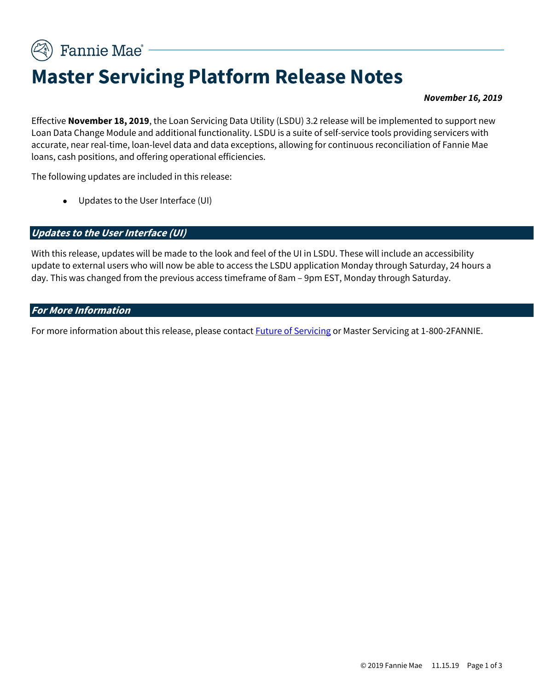Fannie Mae<sup>®</sup>

# **Master Servicing Platform Release Notes**

#### *November 16, 2019*

Effective **November 18, 2019**, the Loan Servicing Data Utility (LSDU) 3.2 release will be implemented to support new Loan Data Change Module and additional functionality. LSDU is a suite of self-service tools providing servicers with accurate, near real-time, loan-level data and data exceptions, allowing for continuous reconciliation of Fannie Mae loans, cash positions, and offering operational efficiencies.

The following updates are included in this release:

• Updates to the User Interface (UI)

#### **Updates to the User Interface (UI)**

With this release, updates will be made to the look and feel of the UI in LSDU. These will include an accessibility update to external users who will now be able to access the LSDU application Monday through Saturday, 24 hours a day. This was changed from the previous access timeframe of 8am – 9pm EST, Monday through Saturday.

#### **For More Information**

For more information about this release, please contact **Future of Servicing** or Master Servicing at 1-800-2FANNIE.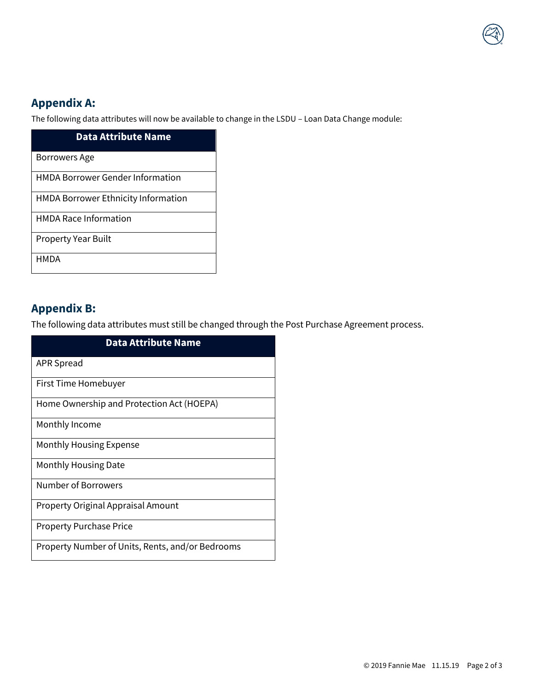## **Appendix A:**

The following data attributes will now be available to change in the LSDU – Loan Data Change module:

| <b>Data Attribute Name</b>                 |
|--------------------------------------------|
| <b>Borrowers Age</b>                       |
| <b>HMDA Borrower Gender Information</b>    |
| <b>HMDA Borrower Ethnicity Information</b> |
| <b>HMDA Race Information</b>               |
| <b>Property Year Built</b>                 |
| HMDA                                       |

### **Appendix B:**

The following data attributes must still be changed through the Post Purchase Agreement process.

| <b>Data Attribute Name</b>                       |
|--------------------------------------------------|
| <b>APR Spread</b>                                |
| First Time Homebuyer                             |
| Home Ownership and Protection Act (HOEPA)        |
| Monthly Income                                   |
| Monthly Housing Expense                          |
| Monthly Housing Date                             |
| Number of Borrowers                              |
| <b>Property Original Appraisal Amount</b>        |
| <b>Property Purchase Price</b>                   |
| Property Number of Units, Rents, and/or Bedrooms |